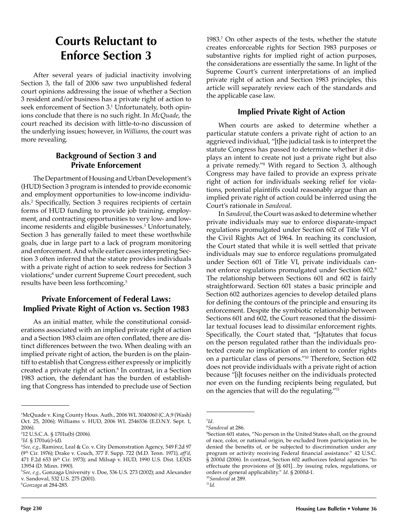# **Courts Reluctant to Enforce Section 3**

After several years of judicial inactivity involving Section 3, the fall of 2006 saw two unpublished federal court opinions addressing the issue of whether a Section 3 resident and/or business has a private right of action to seek enforcement of Section 3.<sup>1</sup> Unfortunately, both opinions conclude that there is no such right. In *McQuade*, the court reached its decision with little-to-no discussion of the underlying issues; however, in *Williams*, the court was more revealing.

## **Background of Section 3 and Private Enforcement**

The Department of Housing and Urban Development's (HUD) Section 3 program is intended to provide economic and employment opportunities to low-income individuals.<sup>2</sup> Specifically, Section 3 requires recipients of certain forms of HUD funding to provide job training, employment, and contracting opportunities to very low- and lowincome residents and eligible businesses.<sup>3</sup> Unfortunately, Section 3 has generally failed to meet these worthwhile goals, due in large part to a lack of program monitoring and enforcement. And while earlier cases interpreting Section 3 often inferred that the statute provides individuals with a private right of action to seek redress for Section 3 violations;<sup>4</sup> under current Supreme Court precedent, such results have been less forthcoming.5

### **Private Enforcement of Federal Laws: Implied Private Right of Action vs. Section 1983**

As an initial matter, while the constitutional considerations associated with an implied private right of action and a Section 1983 claim are often conflated, there are distinct differences between the two. When dealing with an implied private right of action, the burden is on the plaintiff to establish that Congress either expressly or implicitly created a private right of action.6 In contrast, in a Section 1983 action, the defendant has the burden of establishing that Congress has intended to preclude use of Section

1983.7 On other aspects of the tests, whether the statute creates enforceable rights for Section 1983 purposes or substantive rights for implied right of action purposes, the considerations are essentially the same. In light of the Supreme Court's current interpretations of an implied private right of action and Section 1983 principles, this article will separately review each of the standards and the applicable case law.

#### **Implied Private Right of Action**

When courts are asked to determine whether a particular statute confers a private right of action to an aggrieved individual, "[t]he judicial task is to interpret the statute Congress has passed to determine whether it displays an intent to create not just a private right but also a private remedy."8 With regard to Section 3, although Congress may have failed to provide an express private right of action for individuals seeking relief for violations, potential plaintiffs could reasonably argue than an implied private right of action could be inferred using the Court's rationale in *Sandoval*.

In *Sandoval*, the Court was asked to determine whether private individuals may sue to enforce disparate-impact regulations promulgated under Section 602 of Title VI of the Civil Rights Act of 1964. In reaching its conclusion, the Court stated that while it is well settled that private individuals may sue to enforce regulations promulgated under Section 601 of Title VI, private individuals cannot enforce regulations promulgated under Section 602.9 The relationship between Sections 601 and 602 is fairly straightforward. Section 601 states a basic principle and Section 602 authorizes agencies to develop detailed plans for defining the contours of the principle and ensuring its enforcement. Despite the symbiotic relationship between Sections 601 and 602, the Court reasoned that the dissimilar textual focuses lead to dissimilar enforcement rights. Specifically, the Court stated that, "[s]tatutes that focus on the person regulated rather than the individuals protected create no implication of an intent to confer rights on a particular class of persons."10 Therefore, Section 602 does not provide individuals with a private right of action because "[i]t focuses neither on the individuals protected nor even on the funding recipients being regulated, but on the agencies that will do the regulating."11

<sup>1</sup> McQuade v. King County Hous. Auth., 2006 WL 3040060 (C.A.9 (Wash) Oct. 25, 2006); Williams v. HUD, 2006 WL 2546536 (E.D.N.Y. Sept. 1, 2006).

<sup>2</sup> 12 U.S.C.A. § 1701u(b) (2006).

<sup>3</sup> *Id.* § 1701u(c)-(d).

<sup>4</sup> *See, e.g.,* Ramirez, Leal & Co. v. City Demonstration Agency, 549 F.2d 97 (9th Cir. 1976); Drake v. Couch, 377 F. Supp. 722 (M.D. Tenn. 1971), *aff'd*, 471 F.2d 653 (6th Cir. 1973); and Milsap v. HUD, 1990 U.S. Dist. LEXIS 13954 (D. Minn. 1990).

<sup>5</sup> *See, e.g.,* Gonzaga University v. Doe, 536 U.S. 273 (2002); and Alexander v. Sandoval, 532 U.S. 275 (2001).

<sup>6</sup> *Gonzaga* at 284-285.

<sup>7</sup> *Id*.

<sup>8</sup> *Sandoval* at 286.

<sup>9</sup> Section 601 states, "No person in the United States shall, on the ground of race, color, or national origin, be excluded from participation in, be denied the benefits of, or be subjected to discrimination under any program or activity receiving Federal financial assistance." 42 U.S.C. § 2000d (2006). In contrast, Section 602 authorizes federal agencies "to effectuate the provisions of [§ 601]…by issuing rules, regulations, or orders of general applicability." *Id.* § 2000d-1. <sup>10</sup>*Sandoval* at 289.

<sup>11</sup>*Id*.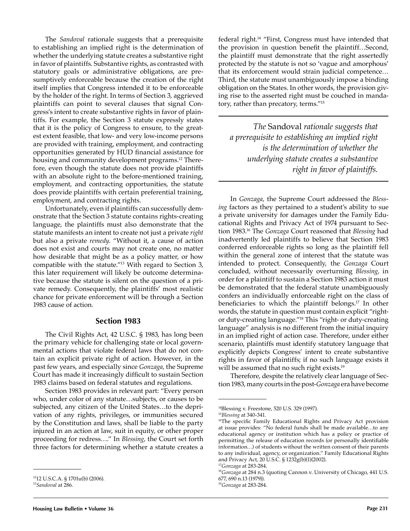The *Sandoval* rationale suggests that a prerequisite to establishing an implied right is the determination of whether the underlying statute creates a substantive right in favor of plaintiffs. Substantive rights, as contrasted with statutory goals or administrative obligations, are presumptively enforceable because the creation of the right itself implies that Congress intended it to be enforceable by the holder of the right. In terms of Section 3, aggrieved plaintiffs can point to several clauses that signal Congress's intent to create substantive rights in favor of plaintiffs. For example, the Section 3 statute expressly states that it is the policy of Congress to ensure, to the greatest extent feasible, that low- and very low-income persons are provided with training, employment, and contracting opportunities generated by HUD financial assistance for housing and community development programs.<sup>12</sup> Therefore, even though the statute does not provide plaintiffs with an absolute right to the before-mentioned training, employment, and contracting opportunities, the statute does provide plaintiffs with certain preferential training, employment, and contracting rights.

Unfortunately, even if plaintiffs can successfully demonstrate that the Section 3 statute contains rights-creating language, the plaintiffs must also demonstrate that the statute manifests an intent to create not just a private *right* but also a private *remedy*. "Without it, a cause of action does not exist and courts may not create one, no matter how desirable that might be as a policy matter, or how compatible with the statute."13 With regard to Section 3, this later requirement will likely be outcome determinative because the statute is silent on the question of a private remedy. Consequently, the plaintiffs' most realistic chance for private enforcement will be through a Section 1983 cause of action.

#### **Section 1983**

The Civil Rights Act, 42 U.S.C. § 1983, has long been the primary vehicle for challenging state or local governmental actions that violate federal laws that do not contain an explicit private right of action. However, in the past few years, and especially since *Gonzaga*, the Supreme Court has made it increasingly difficult to sustain Section 1983 claims based on federal statutes and regulations.

Section 1983 provides in relevant part: "Every person who, under color of any statute…subjects, or causes to be subjected, any citizen of the United States…to the deprivation of any rights, privileges, or immunities secured by the Constitution and laws, shall be liable to the party injured in an action at law, suit in equity, or other proper proceeding for redress…." In *Blessing*, the Court set forth three factors for determining whether a statute creates a

federal right.14 "First, Congress must have intended that the provision in question benefit the plaintiff...Second, the plaintiff must demonstrate that the right assertedly protected by the statute is not so 'vague and amorphous' that its enforcement would strain judicial competence… Third, the statute must unambiguously impose a binding obligation on the States. In other words, the provision giving rise to the asserted right must be couched in mandatory, rather than precatory, terms."15

*The* Sandoval *rationale suggests that a prerequisite to establishing an implied right is the determination of whether the underlying statute creates a substantive right in favor of plaintiffs.*

In *Gonzaga*, the Supreme Court addressed the *Blessing* factors as they pertained to a student's ability to sue a private university for damages under the Family Educational Rights and Privacy Act of 1974 pursuant to Section 1983.16 The *Gonzaga* Court reasoned that *Blessing* had inadvertently led plaintiffs to believe that Section 1983 conferred enforceable rights so long as the plaintiff fell within the general zone of interest that the statute was intended to protect. Consequently, the *Gonzaga* Court concluded, without necessarily overturning *Blessing*, in order for a plaintiff to sustain a Section 1983 action it must be demonstrated that the federal statute unambiguously confers an individually enforceable right on the class of beneficiaries to which the plaintiff belongs.<sup>17</sup> In other words, the statute in question must contain explicit "rightor duty-creating language."18 This "right- or duty-creating language" analysis is no different from the initial inquiry in an implied right of action case. Therefore, under either scenario, plaintiffs must identify statutory language that explicitly depicts Congress' intent to create substantive rights in favor of plaintiffs; if no such language exists it will be assumed that no such right exists.<sup>19</sup>

Therefore, despite the relatively clear language of Section 1983, many courts in the post-*Gonzaga* era have become

<sup>1212</sup> U.S.C.A. § 1701u(b) (2006).

<sup>13</sup>*Sandoval* at 286.

<sup>14</sup>Blessing v. Freestone, 520 U.S. 329 (1997).

<sup>15</sup>*Blessing* at 340-341.

<sup>&</sup>lt;sup>16</sup>The specific Family Educational Rights and Privacy Act provision at issue provides: "No federal funds shall be made available…to any educational agency or institution which has a policy or practice of permitting the release of education records (or personally identifiable information…) of students without the written consent of their parents to any individual, agency, or organization." Family Educational Rights and Privacy Act, 20 U.S.C. § 1232g(b)(1)(2002).

<sup>17</sup>*Gonzaga* at 283-284.

<sup>18</sup>*Gonzaga* at 284 n.3 (quoting Cannon v. University of Chicago, 441 U.S. 677, 690 n.13 (1979)).

<sup>19</sup>*Gonzaga* at 283-284.